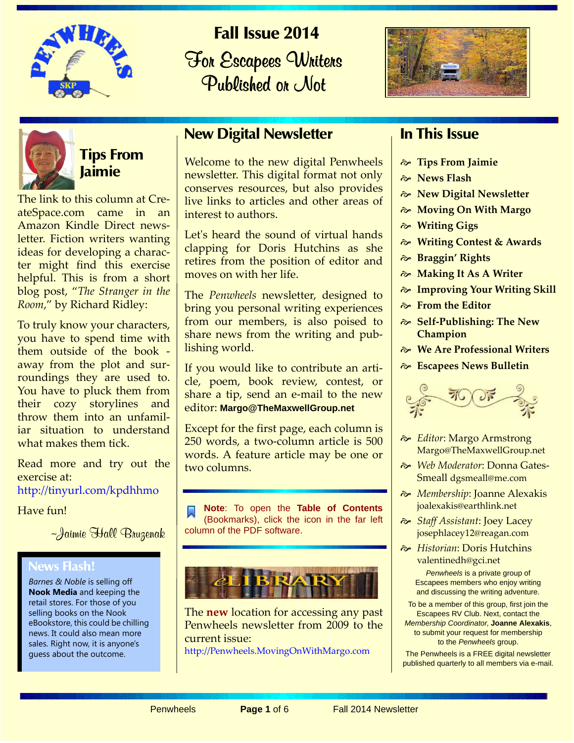

**Fall Issue 2014 For Escapees Whiters** Published or Not





# **Tips From Jaimie**

The link to this column at CreateSpace.com came in an Amazon Kindle Direct newsletter. Fiction writers wanting ideas for developing a character might find this exercise helpful. This is from a short blog post, "*The Stranger in the Room*," by Richard Ridley:

To truly know your characters, you have to spend time with them outside of the book away from the plot and surroundings they are used to. You have to pluck them from their cozy storylines and throw them into an unfamiliar situation to understand what makes them tick.

[Read more and try out the](http://tinyurl.com/kpdhhmo) exercise at: http://tinyurl.com/kpdhhmo

Have fun!

~Jaimie Hall Bruzenak

#### **News Flash!**

*Barnes & Noble* is selling off **Nook Media** and keeping the retail stores. For those of you selling books on the Nook eBookstore, this could be chilling news. It could also mean more sales. Right now, it is anyone's guess about the outcome.

### **New Digital Newsletter**

Welcome to the new digital Penwheels newsletter. This digital format not only conserves resources, but also provides live links to articles and other areas of interest to authors.

Let's heard the sound of virtual hands clapping for Doris Hutchins as she retires from the position of editor and moves on with her life.

The *Penwheels* newsletter, designed to bring you personal writing experiences from our members, is also poised to share news from the writing and publishing world.

If you would like to contribute an article, poem, book review, contest, or share a tip, send an e-mail to the new editor: **Margo@TheMaxwellGroup.net**

Except for the first page, each column is 250 words, a two-column article is 500 words. A feature article may be one or two columns.

**Note**: To open the **Table of Contents** (Bookmarks), click the icon in the far left column of the PDF software.

The **new** location for accessing any past Penwheels newsletter from 2009 to the current issue:

<http://Penwheels.MovingOnWithMargo.com>

### **In This Issue**

- **Tips From Jaimie**
- **News Flash**
- **New Digital Newsletter**
- **Moving On With Margo**
- **Writing Gigs**
- **Writing Contest & Awards**
- **Braggin' Rights**
- **Making It As A Writer**
- **Improving Your Writing Skill**
- **From the Editor**
- **Self-Publishing: The New Champion**
- **We Are Professional Writers**
- **Escapees News Bulletin**



- *Editor*: Margo Armstrong Margo@TheMaxwellGroup.net
- *Web Moderator*: Donna Gates-Smeall dgsmeall@me.com
- *Membership*: Joanne Alexakis joalexakis@earthlink.net
- *Staff Assistant*: Joey Lacey josephlacey12@reagan.com
- *Historian*: Doris Hutchins valentinedh@gci.net

*Penwheels* is a private group of Escapees members who enjoy writing and discussing the writing adventure.

To be a member of this group, first join the Escapees RV Club. Next, contact the *Membership Coordinator*, **Joanne Alexakis**, to submit your request for membership to the *Penwheels* group.

The Penwheels is a FREE digital newsletter published quarterly to all members via e-mail.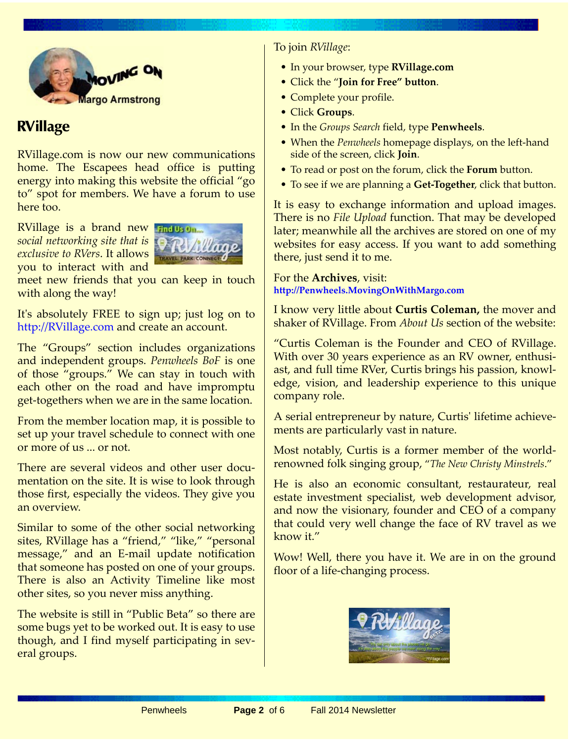

### **RVillage**

RVillage.com is now our new communications home. The Escapees head office is putting energy into making this website the official "go to" spot for members. We have a forum to use here too.

RVillage is a brand new *social networking site that is exclusive to RVers*. It allows you to interact with and



meet new friends that you can keep in touch with along the way!

It's absolutely FREE to sign up; just log on to <http://RVillage.com>and create an account.

The "Groups" section includes organizations and independent groups. *Penwheels BoF* is one of those "groups." We can stay in touch with each other on the road and have impromptu get-togethers when we are in the same location.

From the member location map, it is possible to set up your travel schedule to connect with one or more of us ... or not.

There are several videos and other user documentation on the site. It is wise to look through those first, especially the videos. They give you an overview.

Similar to some of the other social networking sites, RVillage has a "friend," "like," "personal message," and an E-mail update notification that someone has posted on one of your groups. There is also an Activity Timeline like most other sites, so you never miss anything.

The website is still in "Public Beta" so there are some bugs yet to be worked out. It is easy to use though, and I find myself participating in several groups.

To join *RVillage*:

- In your browser, type **RVillage.com**
- Click the "**Join for Free" button**.
- Complete your profile.
- Click **Groups**.
- In the *Groups Search* field, type **Penwheels**.
- When the *Penwheels* homepage displays, on the left-hand side of the screen, click **Join**.
- To read or post on the forum, click the **Forum** button.
- To see if we are planning a **Get-Together**, click that button.

It is easy to exchange information and upload images. There is no *File Upload* function. That may be developed later; meanwhile all the archives are stored on one of my websites for easy access. If you want to add something there, just send it to me.

For the **Archives**, visit: **<http://Penwheels.MovingOnWithMargo.com>**

I know very little about **Curtis Coleman,** the mover and shaker of RVillage. From *About Us* section of the website:

"Curtis Coleman is the Founder and CEO of RVillage. With over 30 years experience as an RV owner, enthusiast, and full time RVer, Curtis brings his passion, knowledge, vision, and leadership experience to this unique company role.

A serial entrepreneur by nature, Curtis' lifetime achievements are particularly vast in nature.

Most notably, Curtis is a former member of the worldrenowned folk singing group, "*The New Christy Minstrels*."

He is also an economic consultant, restaurateur, real estate investment specialist, web development advisor, and now the visionary, founder and CEO of a company that could very well change the face of RV travel as we know it."

Wow! Well, there you have it. We are in on the ground floor of a life-changing process.

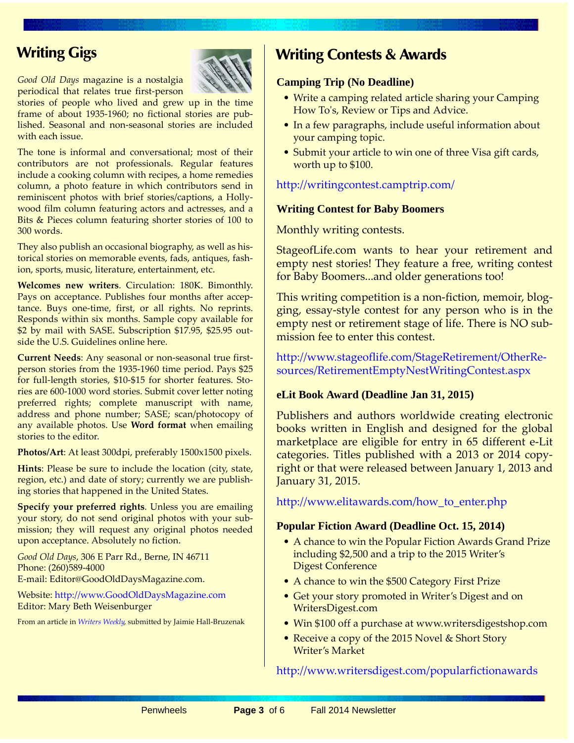## **Writing Gigs**

*Good Old Days* magazine is a nostalgia periodical that relates true first-person

stories of people who lived and grew up in the time frame of about 1935-1960; no fictional stories are published. Seasonal and non-seasonal stories are included with each issue.

The tone is informal and conversational; most of their contributors are not professionals. Regular features include a cooking column with recipes, a home remedies column, a photo feature in which contributors send in reminiscent photos with brief stories/captions, a Hollywood film column featuring actors and actresses, and a Bits & Pieces column featuring shorter stories of 100 to 300 words.

They also publish an occasional biography, as well as historical stories on memorable events, fads, antiques, fashion, sports, music, literature, entertainment, etc.

**Welcomes new writers**. Circulation: 180K. Bimonthly. Pays on acceptance. Publishes four months after acceptance. Buys one-time, first, or all rights. No reprints. Responds within six months. Sample copy available for \$2 by mail with SASE. Subscription \$17.95, \$25.95 outside the U.S. Guidelines online here.

**Current Needs**: Any seasonal or non-seasonal true firstperson stories from the 1935-1960 time period. Pays \$25 for full-length stories, \$10-\$15 for shorter features. Stories are 600-1000 word stories. Submit cover letter noting preferred rights; complete manuscript with name, address and phone number; SASE; scan/photocopy of any available photos. Use **Word format** when emailing stories to the editor.

**Photos/Art**: At least 300dpi, preferably 1500x1500 pixels.

**Hints**: Please be sure to include the location (city, state, region, etc.) and date of story; currently we are publishing stories that happened in the United States.

**Specify your preferred rights.** Unless you are emailing your story, do not send original photos with your submission; they will request any original photos needed upon acceptance. Absolutely no fiction.

*Good Old Days*, 306 E Parr Rd., Berne, IN 46711 Phone: (260)589-4000 E-mail: Editor@GoodOldDaysMagazine.com.

[Website: h](http://www.GoodOldDaysMagazine.com)ttp://www.GoodOldDaysMagazine.com Editor: Mary Beth Weisenburger

From an article in *[Writers Weekly](http://www.writersweekly.com)*, submitted by Jaimie Hall-Bruzenak

### **Writing Contests & Awards**

#### **Camping Trip (No Deadline)**

- Write a camping related article sharing your Camping How To's, Review or Tips and Advice.
- In a few paragraphs, include useful information about your camping topic.
- Submit your article to win one of three Visa gift cards, worth up to \$100.

http://writingcontest.camptrip.com/

#### **Writing Contest for Baby Boomers**

Monthly writing contests.

StageofLife.com wants to hear your retirement and empty nest stories! They feature a free, writing contest for Baby Boomers...and older generations too!

This writing competition is a non-fiction, memoir, blogging, essay-style contest for any person who is in the empty nest or retirement stage of life. There is NO submission fee to enter this contest.

[http://www.stageoflife.com/StageRetirement/OtherRe](http://www.stageoflife.com/StageRetirement/OtherResources/RetirementEmptyNestWritingContest.aspx)sources/RetirementEmptyNestWritingContest.aspx

#### **eLit Book Award (Deadline Jan 31, 2015)**

Publishers and authors worldwide creating electronic books written in English and designed for the global marketplace are eligible for entry in 65 different e-Lit categories. Titles published with a 2013 or 2014 copyright or that were released between January 1, 2013 and January 31, 2015.

http://www.elitawards.com/how\_to\_enter.php

#### **Popular Fiction Award (Deadline Oct. 15, 2014)**

- A chance to win the Popular Fiction Awards Grand Prize including \$2,500 and a trip to the 2015 Writer's Digest Conference
- A chance to win the \$500 Category First Prize
- Get your story promoted in Writer's Digest and on WritersDigest.com
- Win \$100 off a purchase at www.writersdigestshop.com
- Receive a copy of the 2015 Novel & Short Story Writer's Market

#### <http://www.writersdigest.com/popularfictionawards>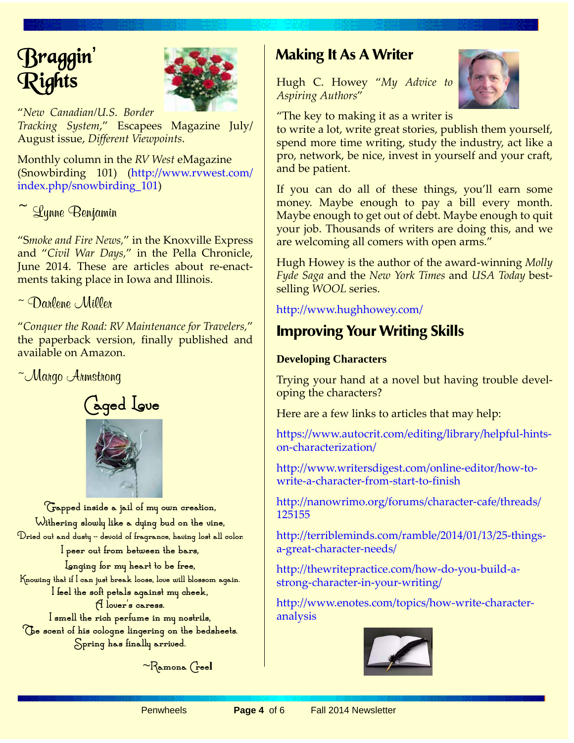



"*New Canadian/U.S. Border*

*Tracking System*," Escapees Magazine July/ August issue, *Different Viewpoints*.

Monthly column in the *RV West* [eMagazine](http://www.rvwest.com/index.php/snowbirding_101))  [\(Snowbirding 101\) \(](http://www.rvwest.com/index.php/snowbirding_101))http://www.rvwest.com/ index.php/snowbirding\_101)

~ Lynne Benjamin

"S*moke and Fire News,*" in the Knoxville Express and "*Civil War Days,*" in the Pella Chronicle, June 2014. These are articles about re-enactments taking place in Iowa and Illinois.

 $\sim$  Darlene Miller

"*Conquer the Road: RV Maintenance for Travelers,*" the paperback version, finally published and available on Amazon.

~Margo Armstrong



**Trapped inside a jail of my own creation, Withering slowly like a dying bud on the vine, Dried out and dusty -- devoid of fragrance, having lost all color.**

**I peer out from between the bars,**

**Longing for my heart to be free, Knowing that if I can just break loose, love will blossom again. I feel the soft petals against my cheek, A lover's caress.**

**I smell the rich perfume in my nostrils, The scent of his cologne lingering on the bedsheets. Spring has finally arrived.**

~**Ramona Creel**

## **Making It As A Writer**

Hugh C. Howey "*My Advice to Aspiring Authors*"



"The key to making it as a writer is

to write a lot, write great stories, publish them yourself, spend more time writing, study the industry, act like a pro, network, be nice, invest in yourself and your craft, and be patient.

If you can do all of these things, you'll earn some money. Maybe enough to pay a bill every month. Maybe enough to get out of debt. Maybe enough to quit your job. Thousands of writers are doing this, and we are welcoming all comers with open arms."

Hugh Howey is the author of the award-winning *Molly Fyde Saga* and the *New York Times* and *USA Today* bestselling *WOOL* series.

http://www.hughhowey.com/

## **Improving Your Writing Skills**

#### **Developing Characters**

Trying your hand at a novel but having trouble developing the characters?

Here are a few links to articles that may help:

[https://www.autocrit.com/editing/library/helpful-hints](https://www.autocrit.com/editing/library/helpful-hints-on-characterization/)on-characterization/

[http://www.writersdigest.com/online-editor/how-to](http://www.writersdigest.com/online-editor/how-to-write-a-character-from-start-to-finish)write-a-character-from-start-to-finish

[http://nanowrimo.org/forums/character-cafe/threads/](http://nanowrimo.org/forums/character-cafe/threads/125155) 125155

[http://terribleminds.com/ramble/2014/01/13/25-things](http://terribleminds.com/ramble/2014/01/13/25-things-a-great-character-needs/)a-great-character-needs/

[http://thewritepractice.com/how-do-you-build-a](http://thewritepractice.com/how-do-you-build-a-strong-character-in-your-writing/)strong-character-in-your-writing/

[http://www.enotes.com/topics/how-write-character](http://www.enotes.com/topics/how-write-character-analysis)analysis

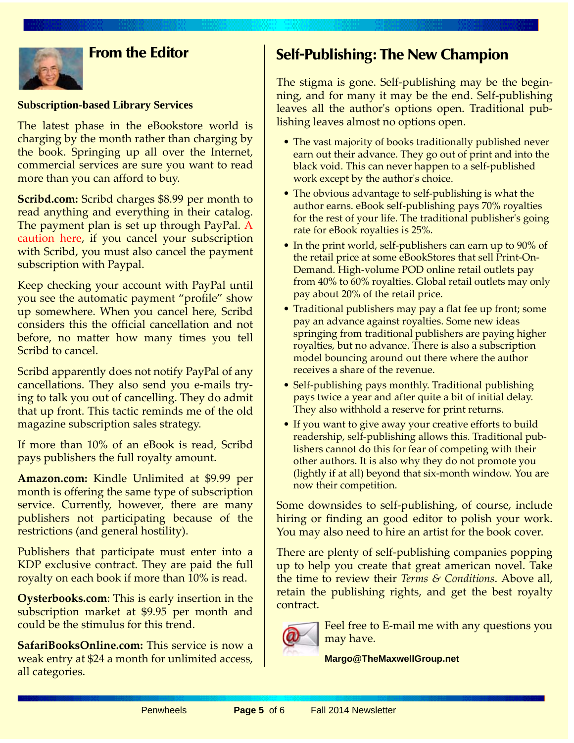

### **From the Editor**

#### **Subscription-based Library Services**

The latest phase in the eBookstore world is charging by the month rather than charging by the book. Springing up all over the Internet, commercial services are sure you want to read more than you can afford to buy.

**[Scribd.com:](http://penwheels.movingonwithmargo.comOysterbooks.com)** Scribd charges \$8.99 per month to read anything and everything in their catalog. The payment plan is set up through PayPal. A caution here, if you cancel your subscription with Scribd, you must also cancel the payment subscription with Paypal.

Keep checking your account with PayPal until you see the automatic payment "profile" show up somewhere. When you cancel here, Scribd considers this the official cancellation and not before, no matter how many times you tell Scribd to cancel.

Scribd apparently does not notify PayPal of any cancellations. They also send you e-mails trying to talk you out of cancelling. They do admit that up front. This tactic reminds me of the old magazine subscription sales strategy.

If more than 10% of an eBook is read, Scribd pays publishers the full royalty amount.

**[Amazon.com:](http://penwheels.movingonwithmargo.comOysterbooks.com)** Kindle Unlimited at \$9.99 per month is offering the same type of subscription service. Currently, however, there are many publishers not participating because of the restrictions (and general hostility).

Publishers that participate must enter into a KDP exclusive contract. They are paid the full royalty on each book if more than 10% is read.

**[Oysterbooks.com](http://penwheels.movingonwithmargo.comOysterbooks.com)**: This is early insertion in the subscription market at \$9.95 per month and could be the stimulus for this trend.

**[SafariBooksOnline.com:](http://penwheels.movingonwithmargo.comSafariBooksOnline.com)** This service is now a weak entry at \$24 a month for unlimited access, all categories.

### **Self-Publishing: The New Champion**

The stigma is gone. Self-publishing may be the beginning, and for many it may be the end. Self-publishing leaves all the author's options open. Traditional publishing leaves almost no options open.

- The vast majority of books traditionally published never earn out their advance. They go out of print and into the black void. This can never happen to a self-published work except by the author's choice.
- The obvious advantage to self-publishing is what the author earns. eBook self-publishing pays 70% royalties for the rest of your life. The traditional publisher's going rate for eBook royalties is 25%.
- In the print world, self-publishers can earn up to 90% of the retail price at some eBookStores that sell Print-On-Demand. High-volume POD online retail outlets pay from 40% to 60% royalties. Global retail outlets may only pay about 20% of the retail price.
- Traditional publishers may pay a flat fee up front; some pay an advance against royalties. Some new ideas springing from traditional publishers are paying higher royalties, but no advance. There is also a subscription model bouncing around out there where the author receives a share of the revenue.
- Self-publishing pays monthly. Traditional publishing pays twice a year and after quite a bit of initial delay. They also withhold a reserve for print returns.
- If you want to give away your creative efforts to build readership, self-publishing allows this. Traditional publishers cannot do this for fear of competing with their other authors. It is also why they do not promote you (lightly if at all) beyond that six-month window. You are now their competition.

Some downsides to self-publishing, of course, include hiring or finding an good editor to polish your work. You may also need to hire an artist for the book cover.

There are plenty of self-publishing companies popping up to help you create that great american novel. Take the time to review their *Terms & Conditions*. Above all, retain the publishing rights, and get the best royalty contract.



Feel free to E-mail me with any questions you may have.

**Margo@TheMaxwellGroup.net**